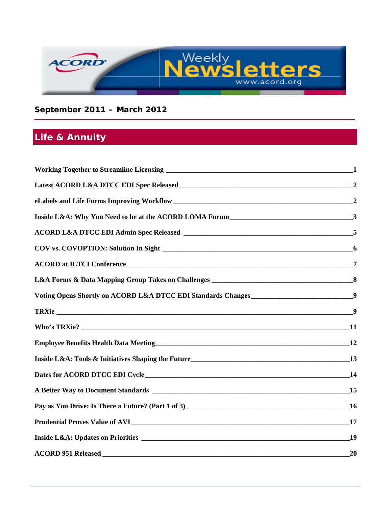

### **September 2011 – March 2012**

# **Life & Annuity**

| 20 |
|----|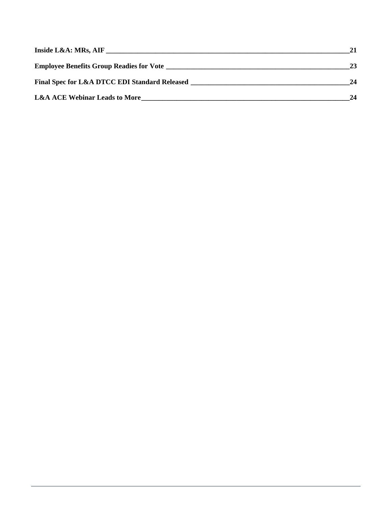| Inside L&A: MRs, AIF                          | 21 |
|-----------------------------------------------|----|
|                                               | 23 |
| Final Spec for L&A DTCC EDI Standard Released | 24 |
| <b>L&amp;A ACE Webinar Leads to More</b>      | 24 |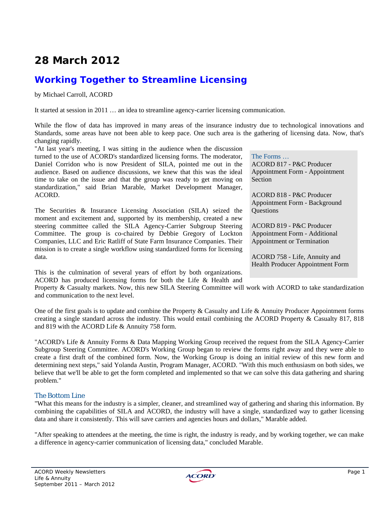# **28 March 2012**

### **Working Together to Streamline Licensing**

#### by Michael Carroll, ACORD

It started at session in 2011 … an idea to streamline agency-carrier licensing communication.

While the flow of data has improved in many areas of the insurance industry due to technological innovations and Standards, some areas have not been able to keep pace. One such area is the gathering of licensing data. Now, that's changing rapidly.

"At last year's meeting, I was sitting in the audience when the discussion turned to the use of ACORD's standardized licensing forms. The moderator, Daniel Corridon who is now President of SILA, pointed me out in the audience. Based on audience discussions, we knew that this was the ideal time to take on the issue and that the group was ready to get moving on standardization," said Brian Marable, Market Development Manager, ACORD.

The Securities & Insurance Licensing Association (SILA) seized the moment and excitement and, supported by its membership, created a new steering committee called the SILA Agency-Carrier Subgroup Steering Committee. The group is co-chaired by Debbie Gregory of Lockton Companies, LLC and Eric Ratliff of State Farm Insurance Companies. Their mission is to create a single workflow using standardized forms for licensing data.

This is the culmination of several years of effort by both organizations. ACORD has produced licensing forms for both the Life & Health and

Appointment or Termination ACORD 758 - Life, Annuity and Health Producer Appointment Form

The Forms …

Section

**Questions** 

ACORD 817 - P&C Producer Appointment Form - Appointment

ACORD 818 - P&C Producer Appointment Form - Background

ACORD 819 - P&C Producer Appointment Form - Additional

Property & Casualty markets. Now, this new SILA Steering Committee will work with ACORD to take standardization and communication to the next level.

One of the first goals is to update and combine the Property & Casualty and Life & Annuity Producer Appointment forms creating a single standard across the industry. This would entail combining the ACORD Property & Casualty 817, 818 and 819 with the ACORD Life & Annuity 758 form.

"ACORD's Life & Annuity Forms & Data Mapping Working Group received the request from the SILA Agency-Carrier Subgroup Steering Committee. ACORD's Working Group began to review the forms right away and they were able to create a first draft of the combined form. Now, the Working Group is doing an initial review of this new form and determining next steps," said Yolanda Austin, Program Manager, ACORD. "With this much enthusiasm on both sides, we believe that we'll be able to get the form completed and implemented so that we can solve this data gathering and sharing problem."

#### The Bottom Line

"What this means for the industry is a simpler, cleaner, and streamlined way of gathering and sharing this information. By combining the capabilities of SILA and ACORD, the industry will have a single, standardized way to gather licensing data and share it consistently. This will save carriers and agencies hours and dollars," Marable added.

"After speaking to attendees at the meeting, the time is right, the industry is ready, and by working together, we can make a difference in agency-carrier communication of licensing data," concluded Marable.

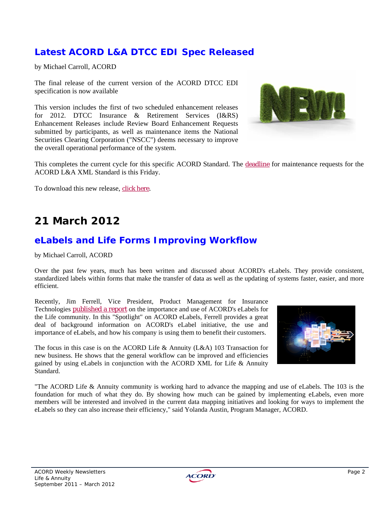### **Latest ACORD L&A DTCC EDI Spec Released**

by Michael Carroll, ACORD

The final release of the current version of the ACORD DTCC EDI specification is now available

This version includes the first of two scheduled enhancement releases for 2012. DTCC Insurance & Retirement Services (I&RS) Enhancement Releases include Review Board Enhancement Requests submitted by participants, as well as maintenance items the National Securities Clearing Corporation ("NSCC") deems necessary to improve the overall operational performance of the system.



This completes the current cycle for this specific ACORD Standard. The deadline for maintenance requests for the ACORD L&A XML Standard is this Friday.

To download this new release, click here.

# **21 March 2012**

### **eLabels and Life Forms Improving Workflow**

by Michael Carroll, ACORD

Over the past few years, much has been written and discussed about ACORD's eLabels. They provide consistent, standardized labels within forms that make the transfer of data as well as the updating of systems faster, easier, and more efficient.

Recently, Jim Ferrell, Vice President, Product Management for Insurance Technologies published a report on the importance and use of ACORD's eLabels for the Life community. In this "Spotlight" on ACORD eLabels, Ferrell provides a great deal of background information on ACORD's eLabel initiative, the use and importance of eLabels, and how his company is using them to benefit their customers.

The focus in this case is on the ACORD Life & Annuity (L&A) 103 Transaction for new business. He shows that the general workflow can be improved and efficiencies gained by using eLabels in conjunction with the ACORD XML for Life & Annuity Standard.



"The ACORD Life & Annuity community is working hard to advance the mapping and use of eLabels. The 103 is the foundation for much of what they do. By showing how much can be gained by implementing eLabels, even more members will be interested and involved in the current data mapping initiatives and looking for ways to implement the eLabels so they can also increase their efficiency," said Yolanda Austin, Program Manager, ACORD.

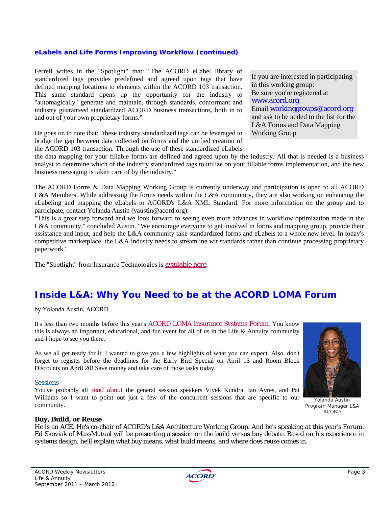#### *eLabels and Life Forms Improving Workflow (continued)*

Ferrell writes in the "Spotlight" that: "The ACORD eLabel library of standardized tags provides predefined and agreed upon tags that have defined mapping locations to elements within the ACORD 103 transaction. This same standard opens up the opportunity for the industry to "automagically" generate and maintain, through standards, conformant and industry guaranteed standardized ACORD business transactions, both in to and out of your own proprietary forms."

He goes on to note that: "these industry standardized tags can be leveraged to bridge the gap between data collected on forms and the unified creation of the ACORD 103 transaction. Through the use of these standardized eLabels If you are interested in participating in this working group: Be sure you're registered at www.acord.org Email workinggroups@acord.org and ask to be added to the list for the L&A Forms and Data Mapping Working Group

the data mapping for your fillable forms are defined and agreed upon by the industry. All that is needed is a business analyst to determine which of the industry standardized tags to utilize on your fillable forms implementation, and the new business messaging is taken care of by the industry."

The ACORD Forms & Data Mapping Working Group is currently underway and participation is open to all ACORD L&A Members. While addressing the forms needs within the L&A community, they are also working on enhancing the eLabeling and mapping the eLabels to ACORD's L&A XML Standard. For more information on the group and to participate, contact Yolanda Austin (yaustin@acord.org).

"This is a great step forward and we look forward to seeing even more advances in workflow optimization made in the L&A community," concluded Austin. "We encourage everyone to get involved in forms and mapping group, provide their assistance and input, and help the L&A community take standardized forms and eLabels to a whole new level. In today's competitive marketplace, the L&A industry needs to streamline wit standards rather than continue processing proprietary paperwork."

The "Spotlight" from Insurance Technologies is available here.

### **Inside L&A: Why You Need to be at the ACORD LOMA Forum**

by Yolanda Austin, ACORD

It's less than two months before this year's ACORD LOMA Insurance Systems Forum. You know this is always an important, educational, and fun event for all of us in the Life & Annuity community and I hope to see you there.

As we all get ready for it, I wanted to give you a few highlights of what you can expect. Also, don't forget to register before the deadlines for the Early Bird Special on April 13 and Room Block Discounts on April 20! Save money and take care of those tasks today.

#### **Sessions**

You've probably all read about the general session speakers Vivek Kundra, Ian Ayres, and Pat Williams so I want to point out just a few of the concurrent sessions that are specific to our community.



Yolanda Austin Program Manager L&A ACORD

#### **Buy, Build, or Reuse**

He is an ACE. He's co-chair of ACORD's L&A Architecture Working Group. And he's speaking at this year's Forum. Ed Skoviak of MassMutual will be presenting a session on the build versus buy debate. Based on his experience in systems design, he'll explain what buy means, what build means, and where does reuse comes in.

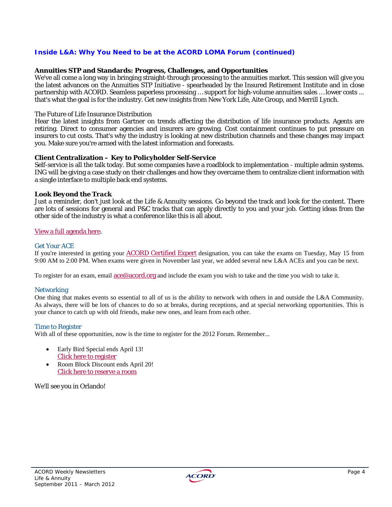#### *Inside L&A: Why You Need to be at the ACORD LOMA Forum (continued)*

#### **Annuities STP and Standards: Progress, Challenges, and Opportunities**

We've all come a long way in bringing straight-through processing to the annuities market. This session will give you the latest advances on the Annuities STP Initiative - spearheaded by the Insured Retirement Institute and in close partnership with ACORD. Seamless paperless processing … support for high-volume annuities sales … lower costs ... that's what the goal is for the industry. Get new insights from New York Life, Aite Group, and Merrill Lynch.

#### The Future of Life Insurance Distribution

Hear the latest insights from Gartner on trends affecting the distribution of life insurance products. Agents are retiring. Direct to consumer agencies and insurers are growing. Cost containment continues to put pressure on insurers to cut costs. That's why the industry is looking at new distribution channels and these changes may impact you. Make sure you're armed with the latest information and forecasts.

#### **Client Centralization – Key to Policyholder Self-Service**

Self-service is all the talk today. But some companies have a roadblock to implementation - multiple admin systems. ING will be giving a case study on their challenges and how they overcame them to centralize client information with a single interface to multiple back end systems.

#### *Look Beyond the Track*

Just a reminder, don't just look at the Life & Annuity sessions. Go beyond the track and look for the content. There are lots of sessions for general and P&C tracks that can apply directly to you and your job. Getting ideas from the other side of the industry is what a conference like this is all about.

#### View a full agenda here.

#### Get Your ACE

If you're interested in getting your ACORD Certified Expert designation, you can take the exams on Tuesday, May 15 from 9:00 AM to 2:00 PM. When exams were given in November last year, we added several new L&A ACEs and you can be next.

To register for an exam, email ace@acord.org and include the exam you wish to take and the time you wish to take it.

#### **Networking**

One thing that makes events so essential to all of us is the ability to network with others in and outside the L&A Community. As always, there will be lots of chances to do so at breaks, during receptions, and at special networking opportunities. This is your chance to catch up with old friends, make new ones, and learn from each other.

#### Time to Register

With all of these opportunities, now is the time to register for the 2012 Forum. Remember...

- Early Bird Special ends April 13! Click here to register
- Room Block Discount ends April 20! Click here to reserve a room

We'll see you in Orlando!

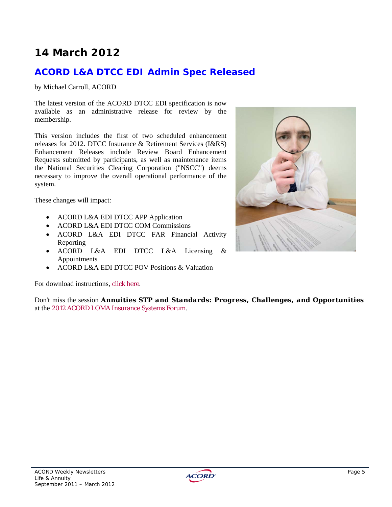# **14 March 2012**

### **ACORD L&A DTCC EDI Admin Spec Released**

#### by Michael Carroll, ACORD

The latest version of the ACORD DTCC EDI specification is now available as an administrative release for review by the membership.

This version includes the first of two scheduled enhancement releases for 2012. DTCC Insurance & Retirement Services (I&RS) Enhancement Releases include Review Board Enhancement Requests submitted by participants, as well as maintenance items the National Securities Clearing Corporation ("NSCC") deems necessary to improve the overall operational performance of the system.

These changes will impact:

- ACORD L&A EDI DTCC APP Application
- ACORD L&A EDI DTCC COM Commissions
- ACORD L&A EDI DTCC FAR Financial Activity Reporting
- ACORD L&A EDI DTCC L&A Licensing & Appointments
- ACORD L&A EDI DTCC POV Positions & Valuation

For download instructions, click here.

Don't miss the session *Annuities STP and Standards: Progress, Challenges, and Opportunities* at the 2012 ACORD LOMA Insurance Systems Forum.



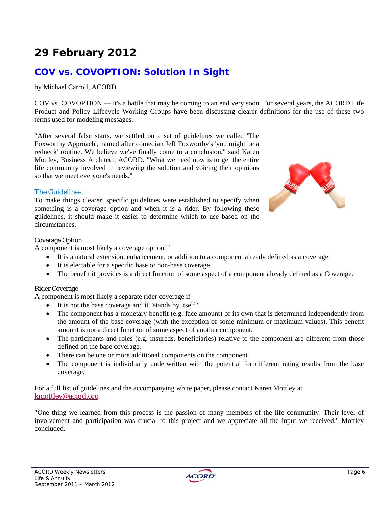# **29 February 2012**

## **COV vs. COVOPTION: Solution In Sight**

by Michael Carroll, ACORD

COV vs. COVOPTION — it's a battle that may be coming to an end very soon. For several years, the ACORD Life Product and Policy Lifecycle Working Groups have been discussing clearer definitions for the use of these two terms used for modeling messages.

"After several false starts, we settled on a set of guidelines we called 'The Foxworthy Approach', named after comedian Jeff Foxworthy's 'you might be a redneck' routine. We believe we've finally come to a conclusion," said Karen Mottley, Business Architect, ACORD. "What we need now is to get the entire life community involved in reviewing the solution and voicing their opinions so that we meet everyone's needs."

#### The Guidelines

To make things clearer, specific guidelines were established to specify when something is a coverage option and when it is a rider. By following these guidelines, it should make it easier to determine which to use based on the circumstances.



#### Coverage Option

A component is most likely a coverage option if

- It is a natural extension, enhancement, or addition to a component already defined as a coverage.
- It is electable for a specific base or non-base coverage.
- The benefit it provides is a direct function of some aspect of a component already defined as a Coverage.

#### Rider Coverage

A component is most likely a separate rider coverage if

- It is not the base coverage and it "stands by itself".
- The component has a monetary benefit (e.g. face amount) of its own that is determined independently from the amount of the base coverage (with the exception of some minimum or maximum values). This benefit amount is not a direct function of some aspect of another component.
- The participants and roles (e.g. insureds, beneficiaries) relative to the component are different from those defined on the base coverage.
- There can be one or more additional components on the component.
- The component is individually underwritten with the potential for different rating results from the base coverage.

For a full list of guidelines and the accompanying white paper, please contact Karen Mottley at kmottley@acord.org.

"One thing we learned from this process is the passion of many members of the life community. Their level of involvement and participation was crucial to this project and we appreciate all the input we received," Mottley concluded.

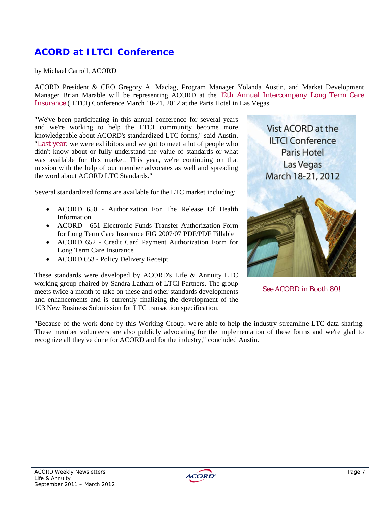## **ACORD at ILTCI Conference**

by Michael Carroll, ACORD

ACORD President & CEO Gregory A. Maciag, Program Manager Yolanda Austin, and Market Development Manager Brian Marable will be representing ACORD at the 12th Annual Intercompany Long Term Care Insurance (ILTCI) Conference March 18-21, 2012 at the Paris Hotel in Las Vegas.

"We've been participating in this annual conference for several years and we're working to help the LTCI community become more knowledgeable about ACORD's standardized LTC forms," said Austin. "Last year, we were exhibitors and we got to meet a lot of people who didn't know about or fully understand the value of standards or what was available for this market. This year, we're continuing on that mission with the help of our member advocates as well and spreading the word about ACORD LTC Standards."

Several standardized forms are available for the LTC market including:

- ACORD 650 Authorization For The Release Of Health Information
- ACORD 651 Electronic Funds Transfer Authorization Form for Long Term Care Insurance FIG 2007/07 PDF/PDF Fillable
- ACORD 652 Credit Card Payment Authorization Form for Long Term Care Insurance
- ACORD 653 Policy Delivery Receipt

These standards were developed by ACORD's Life & Annuity LTC working group chaired by Sandra Latham of LTCI Partners. The group meets twice a month to take on these and other standards developments and enhancements and is currently finalizing the development of the 103 New Business Submission for LTC transaction specification.



See ACORD in Booth 80!

"Because of the work done by this Working Group, we're able to help the industry streamline LTC data sharing. These member volunteers are also publicly advocating for the implementation of these forms and we're glad to recognize all they've done for ACORD and for the industry," concluded Austin.

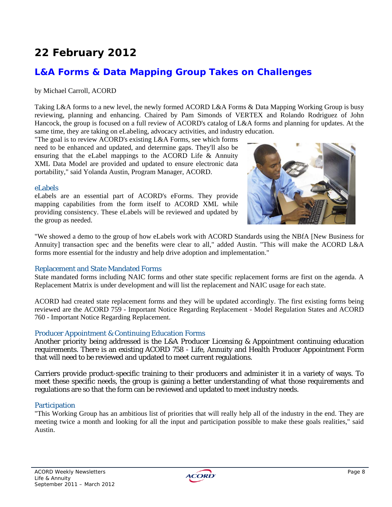# **22 February 2012**

### **L&A Forms & Data Mapping Group Takes on Challenges**

#### by Michael Carroll, ACORD

Taking L&A forms to a new level, the newly formed ACORD L&A Forms & Data Mapping Working Group is busy reviewing, planning and enhancing. Chaired by Pam Simonds of VERTEX and Rolando Rodriguez of John Hancock, the group is focused on a full review of ACORD's catalog of L&A forms and planning for updates. At the same time, they are taking on eLabeling, advocacy activities, and industry education.

"The goal is to review ACORD's existing L&A Forms, see which forms need to be enhanced and updated, and determine gaps. They'll also be ensuring that the eLabel mappings to the ACORD Life & Annuity XML Data Model are provided and updated to ensure electronic data portability," said Yolanda Austin, Program Manager, ACORD.

#### eLabels

eLabels are an essential part of ACORD's eForms. They provide mapping capabilities from the form itself to ACORD XML while providing consistency. These eLabels will be reviewed and updated by the group as needed.



"We showed a demo to the group of how eLabels work with ACORD Standards using the NBfA [New Business for Annuity] transaction spec and the benefits were clear to all," added Austin. "This will make the ACORD L&A forms more essential for the industry and help drive adoption and implementation."

#### Replacement and State Mandated Forms

State mandated forms including NAIC forms and other state specific replacement forms are first on the agenda. A Replacement Matrix is under development and will list the replacement and NAIC usage for each state.

ACORD had created state replacement forms and they will be updated accordingly. The first existing forms being reviewed are the ACORD 759 - Important Notice Regarding Replacement - Model Regulation States and ACORD 760 - Important Notice Regarding Replacement.

#### Producer Appointment & Continuing Education Forms

Another priority being addressed is the L&A Producer Licensing & Appointment continuing education requirements. There is an existing ACORD 758 - Life, Annuity and Health Producer Appointment Form that will need to be reviewed and updated to meet current regulations.

Carriers provide product-specific training to their producers and administer it in a variety of ways. To meet these specific needs, the group is gaining a better understanding of what those requirements and regulations are so that the form can be reviewed and updated to meet industry needs.

#### **Participation**

"This Working Group has an ambitious list of priorities that will really help all of the industry in the end. They are meeting twice a month and looking for all the input and participation possible to make these goals realities," said Austin.

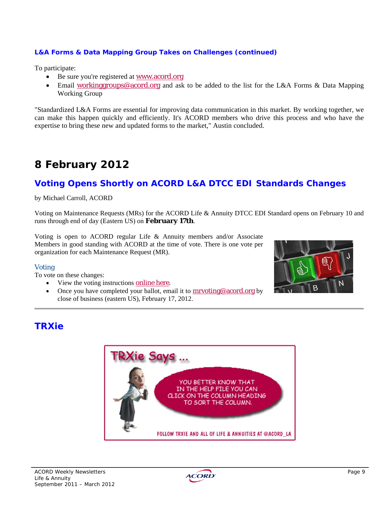#### *L&A Forms & Data Mapping Group Takes on Challenges (continued)*

To participate:

- Be sure you're registered at www.acord.org
- Email workinggroups@acord.org and ask to be added to the list for the L&A Forms & Data Mapping Working Group

"Standardized L&A Forms are essential for improving data communication in this market. By working together, we can make this happen quickly and efficiently. It's ACORD members who drive this process and who have the expertise to bring these new and updated forms to the market," Austin concluded.

# **8 February 2012**

### **Voting Opens Shortly on ACORD L&A DTCC EDI Standards Changes**

by Michael Carroll, ACORD

Voting on Maintenance Requests (MRs) for the ACORD Life & Annuity DTCC EDI Standard opens on February 10 and runs through end of day (Eastern US) on **February 17th**.

Voting is open to ACORD regular Life & Annuity members and/or Associate Members in good standing with ACORD at the time of vote. There is one vote per organization for each Maintenance Request (MR).

#### Voting

To vote on these changes:

- View the voting instructions online here.
- Once you have completed your ballot, email it to **mrvoting@acord.org** by close of business (eastern US), February 17, 2012.



### **TRXie**



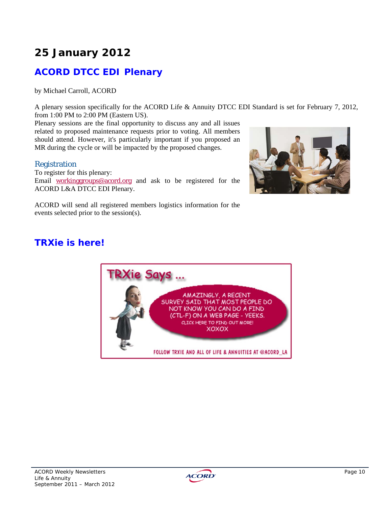# **ACORD DTCC EDI Plenary**

by Michael Carroll, ACORD

A plenary session specifically for the ACORD Life & Annuity DTCC EDI Standard is set for February 7, 2012, from 1:00 PM to 2:00 PM (Eastern US).

Plenary sessions are the final opportunity to discuss any and all issues related to proposed maintenance requests prior to voting. All members should attend. However, it's particularly important if you proposed an MR during the cycle or will be impacted by the proposed changes.

#### Registration

To register for this plenary: Email workinggroups@acord.org and ask to be registered for the ACORD L&A DTCC EDI Plenary.



ACORD will send all registered members logistics information for the events selected prior to the session(s).

## **TRXie is here!**



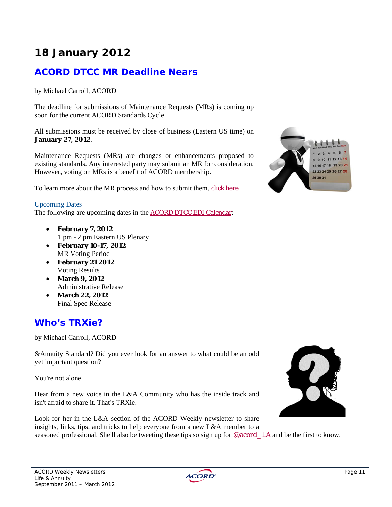# **ACORD DTCC MR Deadline Nears**

by Michael Carroll, ACORD

The deadline for submissions of Maintenance Requests (MRs) is coming up soon for the current ACORD Standards Cycle.

All submissions must be received by close of business (Eastern US time) on **January 27, 2012**.

Maintenance Requests (MRs) are changes or enhancements proposed to existing standards. Any interested party may submit an MR for consideration. However, voting on MRs is a benefit of ACORD membership.

To learn more about the MR process and how to submit them, click here.

#### Upcoming Dates

The following are upcoming dates in the ACORD DTCC EDI Calendar:

- **February 7, 2012**  1 pm - 2 pm Eastern US Plenary
- **February 10-17, 2012**  MR Voting Period
- **February 21 2012**  Voting Results
- **March 9, 2012**  Administrative Release
- **March 22, 2012**  Final Spec Release

### **Who's TRXie?**

by Michael Carroll, ACORD

&Annuity Standard? Did you ever look for an answer to what could be an odd yet important question?

You're not alone.

Hear from a new voice in the L&A Community who has the inside track and isn't afraid to share it. That's TRXie.

Look for her in the L&A section of the ACORD Weekly newsletter to share insights, links, tips, and tricks to help everyone from a new L&A member to a seasoned professional. She'll also be tweeting these tips so sign up for @acord\_LA and be the first to know.





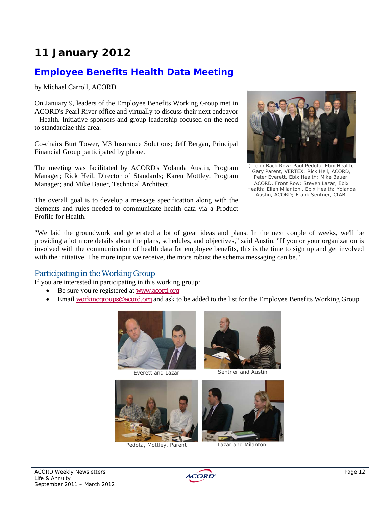### **Employee Benefits Health Data Meeting**

by Michael Carroll, ACORD

On January 9, leaders of the Employee Benefits Working Group met in ACORD's Pearl River office and virtually to discuss their next endeavor - Health. Initiative sponsors and group leadership focused on the need to standardize this area.

Co-chairs Burt Tower, M3 Insurance Solutions; Jeff Bergan, Principal Financial Group participated by phone.

The meeting was facilitated by ACORD's Yolanda Austin, Program Manager; Rick Heil, Director of Standards; Karen Mottley, Program Manager; and Mike Bauer, Technical Architect.

The overall goal is to develop a message specification along with the elements and rules needed to communicate health data via a Product Profile for Health.



(l to r) Back Row: Paul Pedota, Ebix Health; Gary Parent, VERTEX; Rick Heil, ACORD, Peter Everett, Ebix Health; Mike Bauer, ACORD. Front Row: Steven Lazar, Ebix Health; Ellen Milantoni, Ebix Health; Yolanda Austin, ACORD; Frank Sentner, CIAB.

"We laid the groundwork and generated a lot of great ideas and plans. In the next couple of weeks, we'll be providing a lot more details about the plans, schedules, and objectives," said Austin. "If you or your organization is involved with the communication of health data for employee benefits, this is the time to sign up and get involved with the initiative. The more input we receive, the more robust the schema messaging can be."

#### Participating in the Working Group

If you are interested in participating in this working group:

- Be sure you're registered at www.acord.org
- Email workinggroups@acord.org and ask to be added to the list for the Employee Benefits Working Group







Pedota, Mottley, Parent Lazar and Milantoni



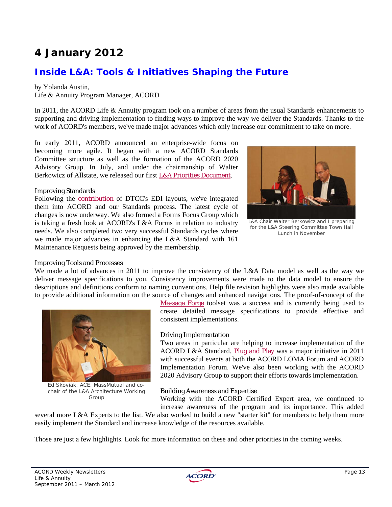### **Inside L&A: Tools & Initiatives Shaping the Future**

#### by Yolanda Austin,

Life & Annuity Program Manager, ACORD

In 2011, the ACORD Life & Annuity program took on a number of areas from the usual Standards enhancements to supporting and driving implementation to finding ways to improve the way we deliver the Standards. Thanks to the work of ACORD's members, we've made major advances which only increase our commitment to take on more.

In early 2011, ACORD announced an enterprise-wide focus on becoming more agile. It began with a new ACORD Standards Committee structure as well as the formation of the ACORD 2020 Advisory Group. In July, and under the chairmanship of Walter Berkowicz of Allstate, we released our first L&A Priorities Document.

#### Improving Standards

Following the contribution of DTCC's EDI layouts, we've integrated them into ACORD and our Standards process. The latest cycle of changes is now underway. We also formed a Forms Focus Group which is taking a fresh look at ACORD's L&A Forms in relation to industry needs. We also completed two very successful Standards cycles where we made major advances in enhancing the L&A Standard with 161 Maintenance Requests being approved by the membership.



L&A Chair Walter Berkowicz and I preparing for the L&A Steering Committee Town Hall Lunch in November

#### Improving Tools and Processes

We made a lot of advances in 2011 to improve the consistency of the L&A Data model as well as the way we deliver message specifications to you. Consistency improvements were made to the data model to ensure the descriptions and definitions conform to naming conventions. Help file revision highlights were also made available to provide additional information on the source of changes and enhanced navigations. The proof-of-concept of the



Ed Skoviak, ACE, MassMutual and cochair of the L&A Architecture Working Group

Message Forge toolset was a success and is currently being used to create detailed message specifications to provide effective and consistent implementations.

#### Driving Implementation

Two areas in particular are helping to increase implementation of the ACORD L&A Standard. Plug and Play was a major initiative in 2011 with successful events at both the ACORD LOMA Forum and ACORD Implementation Forum. We've also been working with the ACORD 2020 Advisory Group to support their efforts towards implementation.

#### Building Awareness and Expertise

Working with the ACORD Certified Expert area, we continued to increase awareness of the program and its importance. This added

several more L&A Experts to the list. We also worked to build a new "starter kit" for members to help them more easily implement the Standard and increase knowledge of the resources available.

Those are just a few highlights. Look for more information on these and other priorities in the coming weeks.

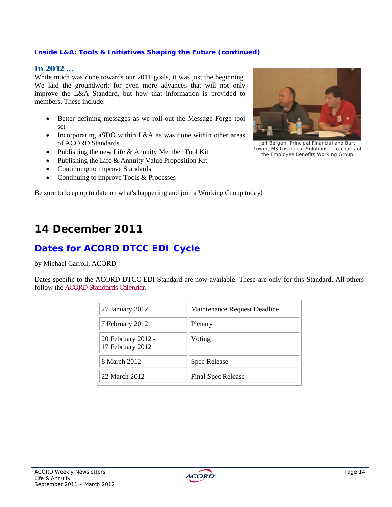#### *Inside L&A: Tools & Initiatives Shaping the Future (continued)*

#### **In 2012 ...**

While much was done towards our 2011 goals, it was just the beginning. We laid the groundwork for even more advances that will not only improve the L&A Standard, but how that information is provided to members. These include:

- Better defining messages as we roll out the Message Forge tool set
- Incorporating aSDO within L&A as was done within other areas of ACORD Standards
- Publishing the new Life & Annuity Member Tool Kit
- Publishing the Life & Annuity Value Proposition Kit
- Continuing to improve Standards
- Continuing to improve Tools & Processes

Be sure to keep up to date on what's happening and join a Working Group today!

## **14 December 2011**

### **Dates for ACORD DTCC EDI Cycle**

by Michael Carroll, ACORD

Dates specific to the ACORD DTCC EDI Standard are now available. These are only for this Standard. All others follow the **ACORD Standards Calendar**.

| 27 January 2012                        | Maintenance Request Deadline |
|----------------------------------------|------------------------------|
| 7 February 2012                        | Plenary                      |
| 20 February 2012 -<br>17 February 2012 | Voting                       |
| 8 March 2012                           | <b>Spec Release</b>          |
| 22 March 2012                          | Final Spec Release           |



Jeff Bergan, Principal Financial and Burt Tower, M3 Insurance Solutions - co-chairs of the Employee Benefits Working Group

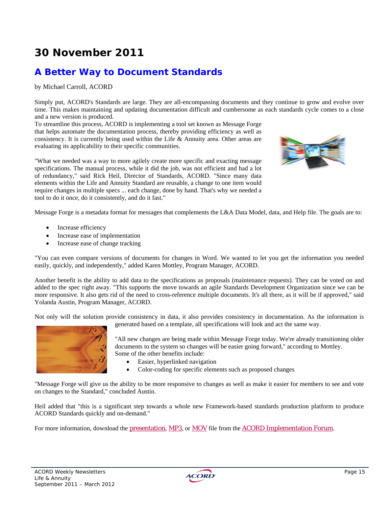# **30 November 2011**

## **A Better Way to Document Standards**

by Michael Carroll, ACORD

Simply put, ACORD's Standards are large. They are all-encompassing documents and they continue to grow and evolve over time. This makes maintaining and updating documentation difficult and cumbersome as each standards cycle comes to a close and a new version is produced.

To streamline this process, ACORD is implementing a tool set known as Message Forge that helps automate the documentation process, thereby providing efficiency as well as consistency. It is currently being used within the Life  $\&$  Annuity area. Other areas are evaluating its applicability to their specific communities.

"What we needed was a way to more agilely create more specific and exacting message specifications. The manual process, while it did the job, was not efficient and had a lot of redundancy," said Rick Heil, Director of Standards, ACORD. "Since many data elements within the Life and Annuity Standard are reusable, a change to one item would require changes in multiple specs ... each change, done by hand. That's why we needed a tool to do it once, do it consistently, and do it fast."



Message Forge is a metadata format for messages that complements the L&A Data Model, data, and Help file. The goals are to:

- Increase efficiency
- Increase ease of implementation
- Increase ease of change tracking

"You can even compare versions of documents for changes in Word. We wanted to let you get the information you needed easily, quickly, and independently," added Karen Mottley, Program Manager, ACORD.

Another benefit is the ability to add data to the specifications as proposals (maintenance requests). They can be voted on and added to the spec right away. "This supports the move towards an agile Standards Development Organization since we can be more responsive. It also gets rid of the need to cross-reference multiple documents. It's all there, as it will be if approved," said Yolanda Austin, Program Manager, ACORD.

Not only will the solution provide consistency in data, it also provides consistency in documentation. As the information is generated based on a template, all specifications will look and act the same way.



"All new changes are being made within Message Forge today. We're already transitioning older documents to the system so changes will be easier going forward," according to Mottley. Some of the other benefits include:

- Easier, hyperlinked navigation
- Color-coding for specific elements such as proposed changes

"Message Forge will give us the ability to be more responsive to changes as well as make it easier for members to see and vote on changes to the Standard," concluded Austin.

Heil added that "this is a significant step towards a whole new Framework-based standards production platform to produce ACORD Standards quickly and on-demand."

For more information, download the presentation, MP3, or MOV file from the ACORD Implementation Forum.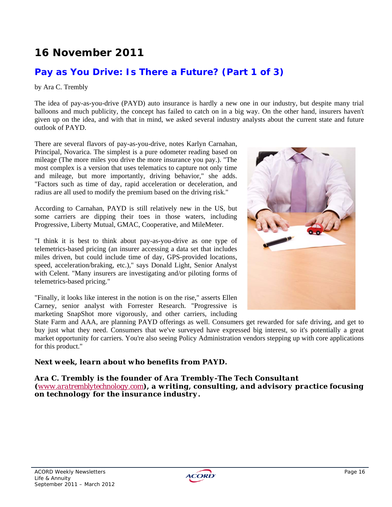# **16 November 2011**

### **Pay as You Drive: Is There a Future? (Part 1 of 3)**

#### by Ara C. Trembly

The idea of pay-as-you-drive (PAYD) auto insurance is hardly a new one in our industry, but despite many trial balloons and much publicity, the concept has failed to catch on in a big way. On the other hand, insurers haven't given up on the idea, and with that in mind, we asked several industry analysts about the current state and future outlook of PAYD.

There are several flavors of pay-as-you-drive, notes Karlyn Carnahan, Principal, Novarica. The simplest is a pure odometer reading based on mileage (The more miles you drive the more insurance you pay.). "The most complex is a version that uses telematics to capture not only time and mileage, but more importantly, driving behavior," she adds. "Factors such as time of day, rapid acceleration or deceleration, and radius are all used to modify the premium based on the driving risk."

According to Carnahan, PAYD is still relatively new in the US, but some carriers are dipping their toes in those waters, including Progressive, Liberty Mutual, GMAC, Cooperative, and MileMeter.

"I think it is best to think about pay-as-you-drive as one type of telemetrics-based pricing (an insurer accessing a data set that includes miles driven, but could include time of day, GPS-provided locations, speed, acceleration/braking, etc.)," says Donald Light, Senior Analyst with Celent. "Many insurers are investigating and/or piloting forms of telemetrics-based pricing."

"Finally, it looks like interest in the notion is on the rise," asserts Ellen Carney, senior analyst with Forrester Research. "Progressive is marketing SnapShot more vigorously, and other carriers, including

State Farm and AAA, are planning PAYD offerings as well. Consumers get rewarded for safe driving, and get to buy just what they need. Consumers that we've surveyed have expressed big interest, so it's potentially a great market opportunity for carriers. You're also seeing Policy Administration vendors stepping up with core applications for this product."

#### *Next week, learn about who benefits from PAYD.*

*Ara C. Trembly is the founder of Ara Trembly-The Tech Consultant (www.aratremblytechnology.com), a writing, consulting, and advisory practice focusing on technology for the insurance industry.*



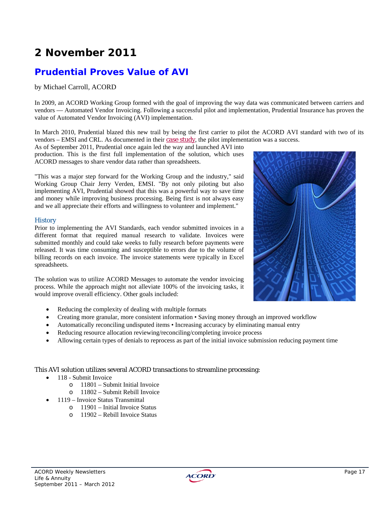# **2 November 2011**

## **Prudential Proves Value of AVI**

#### by Michael Carroll, ACORD

In 2009, an ACORD Working Group formed with the goal of improving the way data was communicated between carriers and vendors — Automated Vendor Invoicing. Following a successful pilot and implementation, Prudential Insurance has proven the value of Automated Vendor Invoicing (AVI) implementation.

In March 2010, Prudential blazed this new trail by being the first carrier to pilot the ACORD AVI standard with two of its vendors – EMSI and CRL. As documented in their case study, the pilot implementation was a success.

As of September 2011, Prudential once again led the way and launched AVI into production. This is the first full implementation of the solution, which uses ACORD messages to share vendor data rather than spreadsheets.

"This was a major step forward for the Working Group and the industry," said Working Group Chair Jerry Verden, EMSI. "By not only piloting but also implementing AVI, Prudential showed that this was a powerful way to save time and money while improving business processing. Being first is not always easy and we all appreciate their efforts and willingness to volunteer and implement."

#### **History**

Prior to implementing the AVI Standards, each vendor submitted invoices in a different format that required manual research to validate. Invoices were submitted monthly and could take weeks to fully research before payments were released. It was time consuming and susceptible to errors due to the volume of billing records on each invoice. The invoice statements were typically in Excel spreadsheets.

The solution was to utilize ACORD Messages to automate the vendor invoicing process. While the approach might not alleviate 100% of the invoicing tasks, it would improve overall efficiency. Other goals included:



- Creating more granular, more consistent information Saving money through an improved workflow
- Automatically reconciling undisputed items Increasing accuracy by eliminating manual entry
- Reducing resource allocation reviewing/reconciling/completing invoice process
- Allowing certain types of denials to reprocess as part of the initial invoice submission reducing payment time

#### This AVI solution utilizes several ACORD transactions to streamline processing:

- 118 Submit Invoice
	- o 11801 Submit Initial Invoice
	- o 11802 Submit Rebill Invoice
- 1119 Invoice Status Transmittal
	- o 11901 Initial Invoice Status
	- o 11902 Rebill Invoice Status



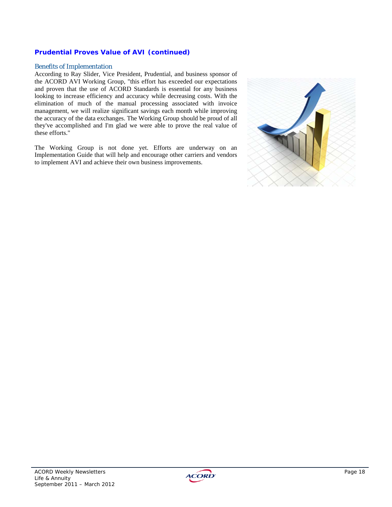#### *Prudential Proves Value of AVI (continued)*

#### Benefits of Implementation

According to Ray Slider, Vice President, Prudential, and business sponsor of the ACORD AVI Working Group, "this effort has exceeded our expectations and proven that the use of ACORD Standards is essential for any business looking to increase efficiency and accuracy while decreasing costs. With the elimination of much of the manual processing associated with invoice management, we will realize significant savings each month while improving the accuracy of the data exchanges. The Working Group should be proud of all they've accomplished and I'm glad we were able to prove the real value of these efforts."

The Working Group is not done yet. Efforts are underway on an Implementation Guide that will help and encourage other carriers and vendors to implement AVI and achieve their own business improvements.



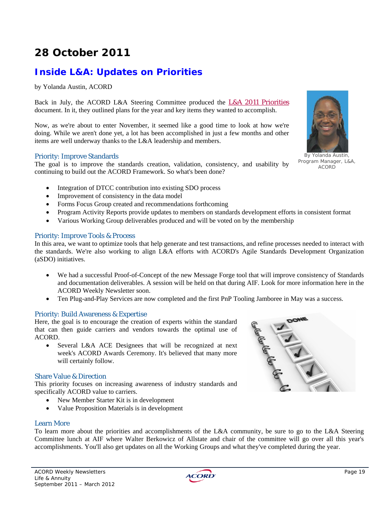# **28 October 2011**

## **Inside L&A: Updates on Priorities**

by Yolanda Austin, ACORD

Back in July, the ACORD L&A Steering Committee produced the L&A 2011 Priorities document. In it, they outlined plans for the year and key items they wanted to accomplish.

Now, as we're about to enter November, it seemed like a good time to look at how we're doing. While we aren't done yet, a lot has been accomplished in just a few months and other items are well underway thanks to the L&A leadership and members.

#### Priority: Improve Standards

The goal is to improve the standards creation, validation, consistency, and usability by continuing to build out the ACORD Framework. So what's been done?

- Integration of DTCC contribution into existing SDO process
- Improvement of consistency in the data model
- Forms Focus Group created and recommendations forthcoming
- Program Activity Reports provide updates to members on standards development efforts in consistent format
- Various Working Group deliverables produced and will be voted on by the membership

#### Priority: Improve Tools & Process

In this area, we want to optimize tools that help generate and test transactions, and refine processes needed to interact with the standards. We're also working to align L&A efforts with ACORD's Agile Standards Development Organization (aSDO) initiatives.

- We had a successful Proof-of-Concept of the new Message Forge tool that will improve consistency of Standards and documentation deliverables. A session will be held on that during AIF. Look for more information here in the ACORD Weekly Newsletter soon.
- Ten Plug-and-Play Services are now completed and the first PnP Tooling Jamboree in May was a success.

#### Priority: Build Awareness & Expertise

Here, the goal is to encourage the creation of experts within the standard that can then guide carriers and vendors towards the optimal use of ACORD.

• Several L&A ACE Designees that will be recognized at next week's ACORD Awards Ceremony. It's believed that many more will certainly follow.

#### Share Value & Direction

This priority focuses on increasing awareness of industry standards and specifically ACORD value to carriers.

- New Member Starter Kit is in development
- Value Proposition Materials is in development

#### Learn More

To learn more about the priorities and accomplishments of the L&A community, be sure to go to the L&A Steering Committee lunch at AIF where Walter Berkowicz of Allstate and chair of the committee will go over all this year's accomplishments. You'll also get updates on all the Working Groups and what they've completed during the year.





By Yolanda Austin, Program Manager, L&A, ACORD

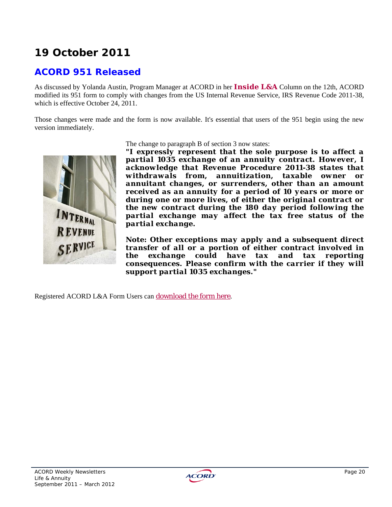# **19 October 2011**

### **ACORD 951 Released**

As discussed by Yolanda Austin, Program Manager at ACORD in her *Inside L&A* Column on the 12th, ACORD modified its 951 form to comply with changes from the US Internal Revenue Service, IRS Revenue Code 2011-38, which is effective October 24, 2011.

Those changes were made and the form is now available. It's essential that users of the 951 begin using the new version immediately.



#### The change to paragraph B of section 3 now states:

*"I expressly represent that the sole purpose is to affect a partial 1035 exchange of an annuity contract. However, I acknowledge that Revenue Procedure 2011-38 states that withdrawals from, annuitization, taxable owner or annuitant changes, or surrenders, other than an amount received as an annuity for a period of 10 years or more or during one or more lives, of either the original contract or the new contract during the 180 day period following the partial exchange may affect the tax free status of the partial exchange.* 

*Note: Other exceptions may apply and a subsequent direct transfer of all or a portion of either contract involved in the exchange could have tax and tax reporting consequences. Please confirm with the carrier if they will support partial 1035 exchanges."*

Registered ACORD L&A Form Users can download the form here.

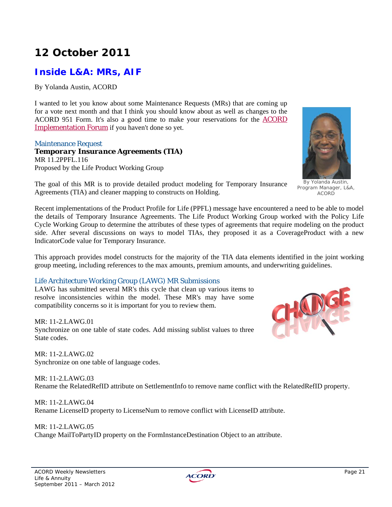# **12 October 2011**

### **Inside L&A: MRs, AIF**

By Yolanda Austin, ACORD

I wanted to let you know about some Maintenance Requests (MRs) that are coming up for a vote next month and that I think you should know about as well as changes to the ACORD 951 Form. It's also a good time to make your reservations for the ACORD Implementation Forum if you haven't done so yet.

#### Maintenance Request

*Temporary Insurance Agreements (TIA)*  MR 11.2PPFL.116 Proposed by the Life Product Working Group

The goal of this MR is to provide detailed product modeling for Temporary Insurance Agreements (TIA) and cleaner mapping to constructs on Holding.

Recent implementations of the Product Profile for Life (PPFL) message have encountered a need to be able to model the details of Temporary Insurance Agreements. The Life Product Working Group worked with the Policy Life Cycle Working Group to determine the attributes of these types of agreements that require modeling on the product side. After several discussions on ways to model TIAs, they proposed it as a CoverageProduct with a new IndicatorCode value for Temporary Insurance.

This approach provides model constructs for the majority of the TIA data elements identified in the joint working group meeting, including references to the max amounts, premium amounts, and underwriting guidelines.

#### Life Architecture Working Group (LAWG) MR Submissions

LAWG has submitted several MR's this cycle that clean up various items to resolve inconsistencies within the model. These MR's may have some compatibility concerns so it is important for you to review them.

MR: 11-2.LAWG.01 Synchronize on one table of state codes. Add missing sublist values to three State codes.

 $MR: 11-2$  LAWG 02. Synchronize on one table of language codes.

MR: 11-2.LAWG.03 Rename the RelatedRefID attribute on SettlementInfo to remove name conflict with the RelatedRefID property.

MR: 11-2.LAWG.04 Rename LicenseID property to LicenseNum to remove conflict with LicenseID attribute.

MR: 11-2.LAWG.05 Change MailToPartyID property on the FormInstanceDestination Object to an attribute.



Program Manager, L&A, ACORD

HOTEL

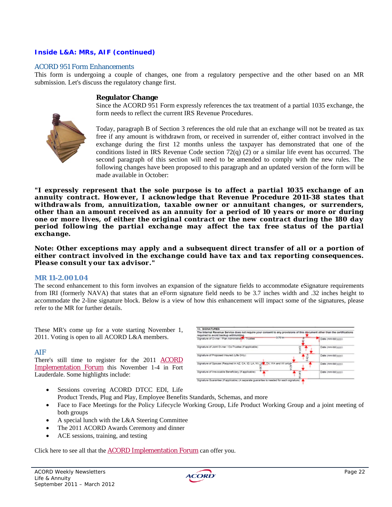#### *Inside L&A: MRs, AIF (continued)*

#### ACORD 951 Form Enhancements

This form is undergoing a couple of changes, one from a regulatory perspective and the other based on an MR submission. Let's discuss the regulatory change first.

#### **Regulator Change**

Since the ACORD 951 Form expressly references the tax treatment of a partial 1035 exchange, the form needs to reflect the current IRS Revenue Procedures.



Today, paragraph B of Section 3 references the old rule that an exchange will not be treated as tax free if any amount is withdrawn from, or received in surrender of, either contract involved in the exchange during the first 12 months unless the taxpayer has demonstrated that one of the conditions listed in IRS Revenue Code section  $72(q)$  (2) or a similar life event has occurred. The second paragraph of this section will need to be amended to comply with the new rules. The following changes have been proposed to this paragraph and an updated version of the form will be made available in October:

*"I expressly represent that the sole purpose is to affect a partial 1035 exchange of an annuity contract. However, I acknowledge that Revenue Procedure 2011-38 states that withdrawals from, annuitization, taxable owner or annuitant changes, or surrenders, other than an amount received as an annuity for a period of 10 years or more or during one or more lives, of either the original contract or the new contract during the 180 day period following the partial exchange may affect the tax free status of the partial exchange.* 

*Note: Other exceptions may apply and a subsequent direct transfer of all or a portion of either contract involved in the exchange could have tax and tax reporting consequences. Please consult your tax advisor."*

#### **MR 11-2.001.04**

The second enhancement to this form involves an expansion of the signature fields to accommodate eSignature requirements from IRI (formerly NAVA) that states that an eForm signature field needs to be 3.7 inches width and .32 inches height to accommodate the 2-line signature block. Below is a view of how this enhancement will impact some of the signatures, please refer to the MR for further details.

These MR's come up for a vote starting November 1, 2011. Voting is open to all ACORD L&A members.

#### AIF

There's still time to register for the 2011 ACORD Implementation Forum this November 1-4 in Fort Lauderdale. Some highlights include:



- Sessions covering ACORD DTCC EDI, Life Product Trends, Plug and Play, Employee Benefits Standards, Schemas, and more
- Face to Face Meetings for the Policy Lifecycle Working Group, Life Product Working Group and a joint meeting of both groups
- A special lunch with the L&A Steering Committee
- The 2011 ACORD Awards Ceremony and dinner
- ACE sessions, training, and testing

Click here to see all that the **ACORD Implementation Forum** can offer you.

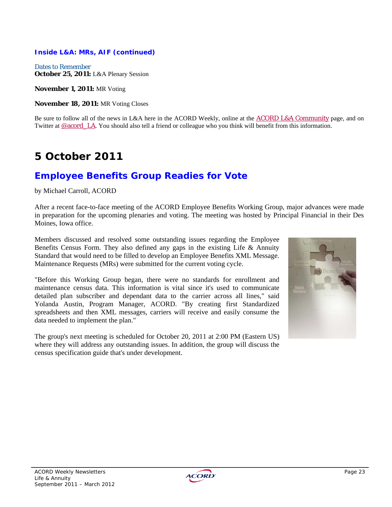#### *Inside L&A: MRs, AIF (continued)*

Dates to Remember **October 25, 2011:** L&A Plenary Session

**November 1, 2011:** MR Voting

**November 18, 2011:** MR Voting Closes

Be sure to follow all of the news in L&A here in the ACORD Weekly, online at the ACORD L&A Community page, and on Twitter at @acord\_LA. You should also tell a friend or colleague who you think will benefit from this information.

# **5 October 2011**

### **Employee Benefits Group Readies for Vote**

#### by Michael Carroll, ACORD

After a recent face-to-face meeting of the ACORD Employee Benefits Working Group, major advances were made in preparation for the upcoming plenaries and voting. The meeting was hosted by Principal Financial in their Des Moines, Iowa office.

Members discussed and resolved some outstanding issues regarding the Employee Benefits Census Form. They also defined any gaps in the existing Life & Annuity Standard that would need to be filled to develop an Employee Benefits XML Message. Maintenance Requests (MRs) were submitted for the current voting cycle.

"Before this Working Group began, there were no standards for enrollment and maintenance census data. This information is vital since it's used to communicate detailed plan subscriber and dependant data to the carrier across all lines," said Yolanda Austin, Program Manager, ACORD. "By creating first Standardized spreadsheets and then XML messages, carriers will receive and easily consume the data needed to implement the plan."

The group's next meeting is scheduled for October 20, 2011 at 2:00 PM (Eastern US) where they will address any outstanding issues. In addition, the group will discuss the census specification guide that's under development.